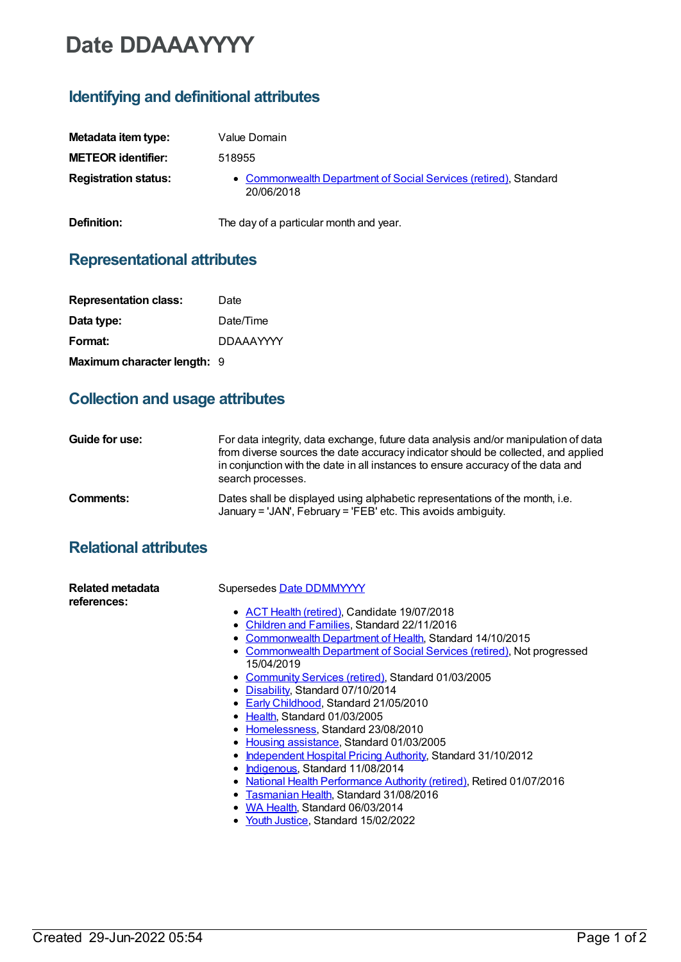# **Date DDAAAYYYY**

## **Identifying and definitional attributes**

| Metadata item type:         | Value Domain                                                                   |
|-----------------------------|--------------------------------------------------------------------------------|
| <b>METEOR identifier:</b>   | 518955                                                                         |
| <b>Registration status:</b> | • Commonwealth Department of Social Services (retired), Standard<br>20/06/2018 |
| Definition:                 | The day of a particular month and year.                                        |

### **Representational attributes**

| <b>Representation class:</b> | Date             |
|------------------------------|------------------|
| Data type:                   | Date/Time        |
| Format:                      | <b>DDAAAYYYY</b> |
| Maximum character length: 9  |                  |

## **Collection and usage attributes**

| Guide for use: | For data integrity, data exchange, future data analysis and/or manipulation of data<br>from diverse sources the date accuracy indicator should be collected, and applied<br>in conjunction with the date in all instances to ensure accuracy of the data and<br>search processes. |
|----------------|-----------------------------------------------------------------------------------------------------------------------------------------------------------------------------------------------------------------------------------------------------------------------------------|
| Comments:      | Dates shall be displayed using alphabetic representations of the month, i.e.<br>January = 'JAN', February = 'FEB' etc. This avoids ambiguity.                                                                                                                                     |

#### **Relational attributes**

| Related metadata<br>references: | Supersedes Date DDMMYYYY                                                                  |
|---------------------------------|-------------------------------------------------------------------------------------------|
|                                 | • ACT Health (retired), Candidate 19/07/2018                                              |
|                                 | • Children and Families, Standard 22/11/2016                                              |
|                                 | Commonwealth Department of Health, Standard 14/10/2015                                    |
|                                 | <b>Commonwealth Department of Social Services (retired), Not progressed</b><br>15/04/2019 |
|                                 | • Community Services (retired), Standard 01/03/2005                                       |
|                                 | • Disability, Standard 07/10/2014                                                         |
|                                 | • Early Childhood, Standard 21/05/2010                                                    |
|                                 | • Health, Standard 01/03/2005                                                             |
|                                 | • Homelessness, Standard 23/08/2010                                                       |
|                                 | • Housing assistance, Standard 01/03/2005                                                 |
|                                 | Independent Hospital Pricing Authority, Standard 31/10/2012                               |
|                                 | • Indigenous, Standard 11/08/2014                                                         |
|                                 | National Health Performance Authority (retired), Retired 01/07/2016                       |
|                                 | Tasmanian Health, Standard 31/08/2016                                                     |
|                                 | WA Health, Standard 06/03/2014                                                            |
|                                 | Youth Justice, Standard 15/02/2022                                                        |